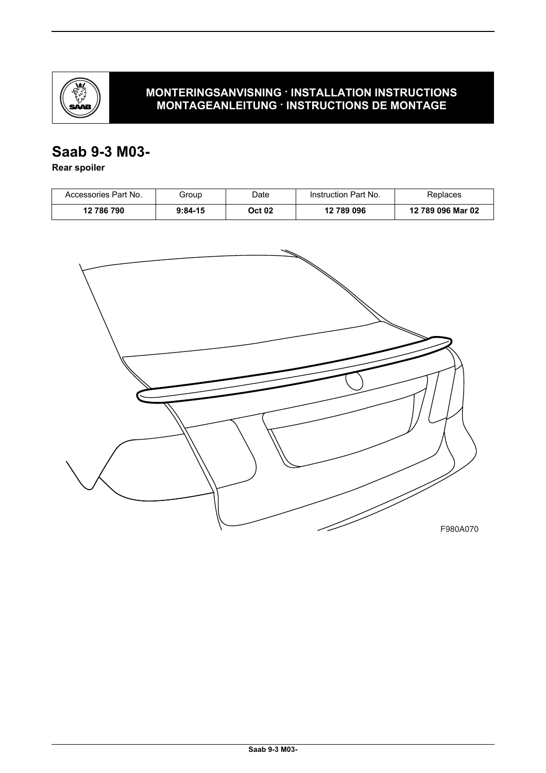

### **MONTERINGSANVISNING · INSTALLATION INSTRUCTIONS MONTAGEANLEITUNG · INSTRUCTIONS DE MONTAGE**

# **Saab 9-3 M03-**

**Rear spoiler**

| Accessories Part No. | Group     | Date   | Instruction Part No. | Replaces          |
|----------------------|-----------|--------|----------------------|-------------------|
| 12 786 790           | $9:84-15$ | Oct 02 | 12 789 096           | 12 789 096 Mar 02 |

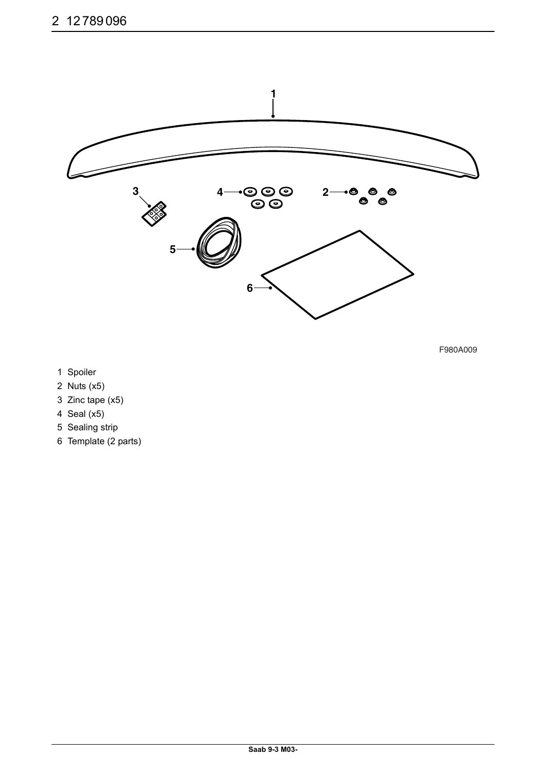

F980A009

- 1 Spoiler
- 2 Nuts (x5)
- 3 Zinc tape (x5)
- 4 Seal (x5)
- 5 Sealing strip
- 6 Template (2 parts)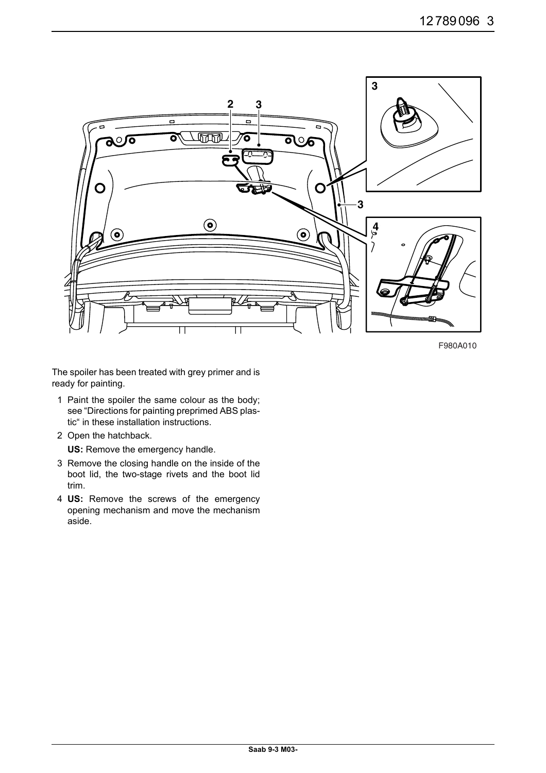

F980A010

The spoiler has been treated with grey primer and is ready for painting.

- 1 Paint the spoiler the same colour as the body; see "Directions for painting preprimed ABS plastic" in these installation instructions.
- 2 Open the hatchback.

**US:** Remove the emergency handle.

- 3 Remove the closing handle on the inside of the boot lid, the two-stage rivets and the boot lid trim.
- 4 **US:** Remove the screws of the emergency opening mechanism and move the mechanism aside.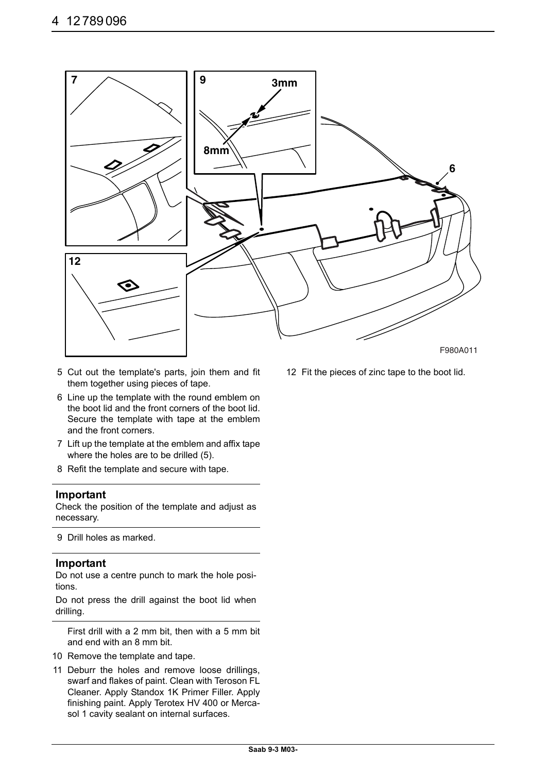

- 5 Cut out the template's parts, join them and fit them together using pieces of tape.
- 6 Line up the template with the round emblem on the boot lid and the front corners of the boot lid. Secure the template with tape at the emblem and the front corners.
- 7 Lift up the template at the emblem and affix tape where the holes are to be drilled (5).
- 8 Refit the template and secure with tape.

#### **Important**

Check the position of the template and adjust as necessary.

9 Drill holes as marked.

#### **Important**

Do not use a centre punch to mark the hole positions.

Do not press the drill against the boot lid when drilling.

First drill with a 2 mm bit, then with a 5 mm bit and end with an 8 mm bit.

- 10 Remove the template and tape.
- 11 Deburr the holes and remove loose drillings, swarf and flakes of paint. Clean with Teroson FL Cleaner. Apply Standox 1K Primer Filler. Apply finishing paint. Apply Terotex HV 400 or Mercasol 1 cavity sealant on internal surfaces.

12 Fit the pieces of zinc tape to the boot lid.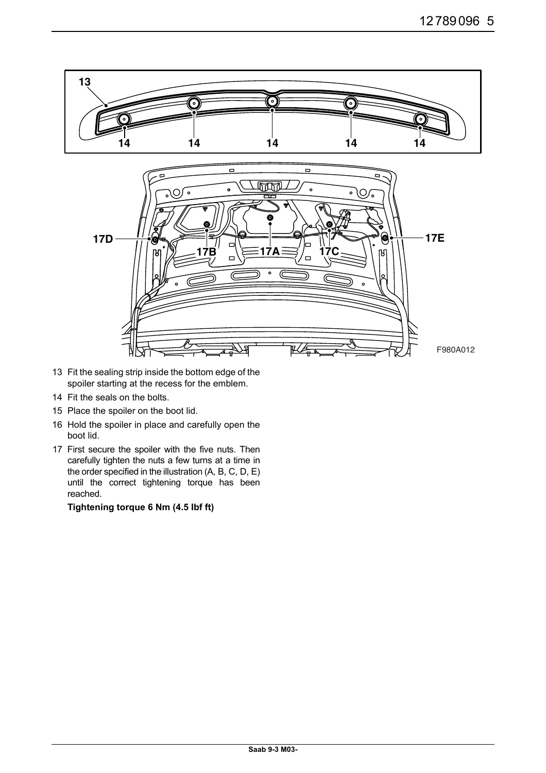

- 13 Fit the sealing strip inside the bottom edge of the spoiler starting at the recess for the emblem.
- 14 Fit the seals on the bolts.
- 15 Place the spoiler on the boot lid.
- 16 Hold the spoiler in place and carefully open the boot lid.
- 17 First secure the spoiler with the five nuts. Then carefully tighten the nuts a few turns at a time in the order specified in the illustration (A, B, C, D, E) until the correct tightening torque has been reached.

#### **Tightening torque 6 Nm (4.5 Ibf ft)**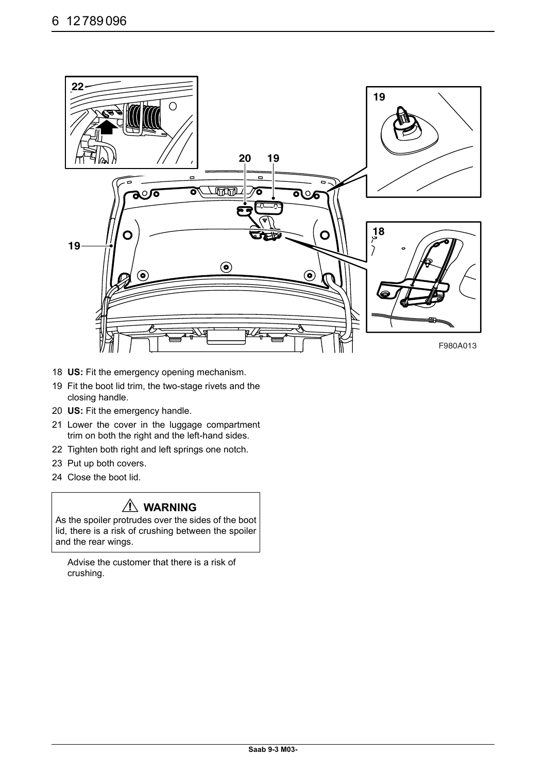

- 18 **US:** Fit the emergency opening mechanism.
- 19 Fit the boot lid trim, the two-stage rivets and the closing handle.
- 20 **US:** Fit the emergency handle.
- 21 Lower the cover in the luggage compartment trim on both the right and the left-hand sides.
- 22 Tighten both right and left springs one notch.
- 23 Put up both covers.
- 24 Close the boot lid.

## **WARNING**

As the spoiler protrudes over the sides of the boot lid, there is a risk of crushing between the spoiler and the rear wings.

Advise the customer that there is a risk of crushing.